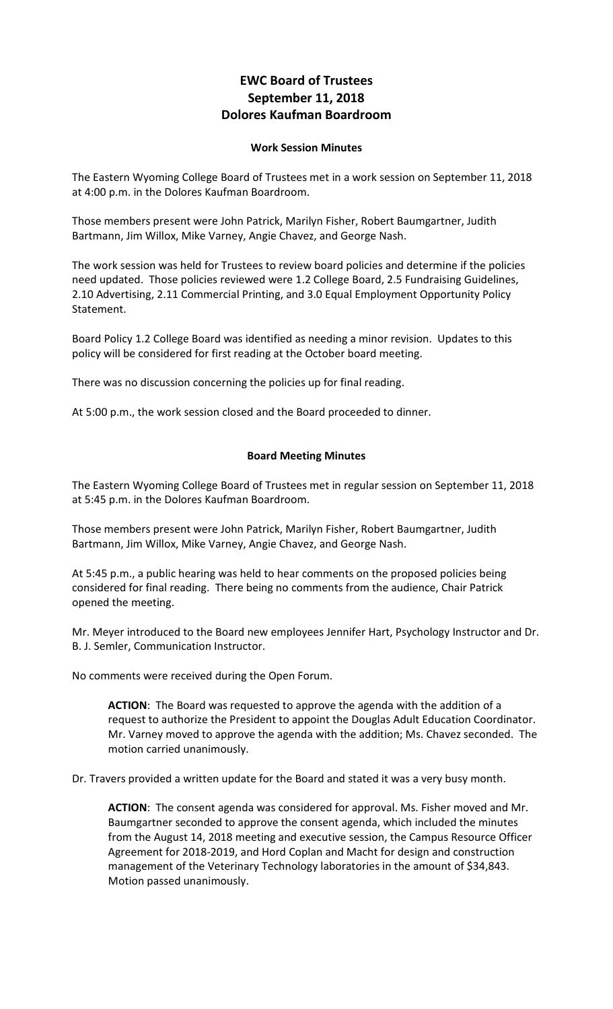## **EWC Board of Trustees September 11, 2018 Dolores Kaufman Boardroom**

## **Work Session Minutes**

The Eastern Wyoming College Board of Trustees met in a work session on September 11, 2018 at 4:00 p.m. in the Dolores Kaufman Boardroom.

Those members present were John Patrick, Marilyn Fisher, Robert Baumgartner, Judith Bartmann, Jim Willox, Mike Varney, Angie Chavez, and George Nash.

The work session was held for Trustees to review board policies and determine if the policies need updated. Those policies reviewed were 1.2 College Board, 2.5 Fundraising Guidelines, 2.10 Advertising, 2.11 Commercial Printing, and 3.0 Equal Employment Opportunity Policy Statement.

Board Policy 1.2 College Board was identified as needing a minor revision. Updates to this policy will be considered for first reading at the October board meeting.

There was no discussion concerning the policies up for final reading.

At 5:00 p.m., the work session closed and the Board proceeded to dinner.

## **Board Meeting Minutes**

The Eastern Wyoming College Board of Trustees met in regular session on September 11, 2018 at 5:45 p.m. in the Dolores Kaufman Boardroom.

Those members present were John Patrick, Marilyn Fisher, Robert Baumgartner, Judith Bartmann, Jim Willox, Mike Varney, Angie Chavez, and George Nash.

At 5:45 p.m., a public hearing was held to hear comments on the proposed policies being considered for final reading. There being no comments from the audience, Chair Patrick opened the meeting.

Mr. Meyer introduced to the Board new employees Jennifer Hart, Psychology Instructor and Dr. B. J. Semler, Communication Instructor.

No comments were received during the Open Forum.

**ACTION**: The Board was requested to approve the agenda with the addition of a request to authorize the President to appoint the Douglas Adult Education Coordinator. Mr. Varney moved to approve the agenda with the addition; Ms. Chavez seconded. The motion carried unanimously.

Dr. Travers provided a written update for the Board and stated it was a very busy month.

**ACTION**: The consent agenda was considered for approval. Ms. Fisher moved and Mr. Baumgartner seconded to approve the consent agenda, which included the minutes from the August 14, 2018 meeting and executive session, the Campus Resource Officer Agreement for 2018-2019, and Hord Coplan and Macht for design and construction management of the Veterinary Technology laboratories in the amount of \$34,843. Motion passed unanimously.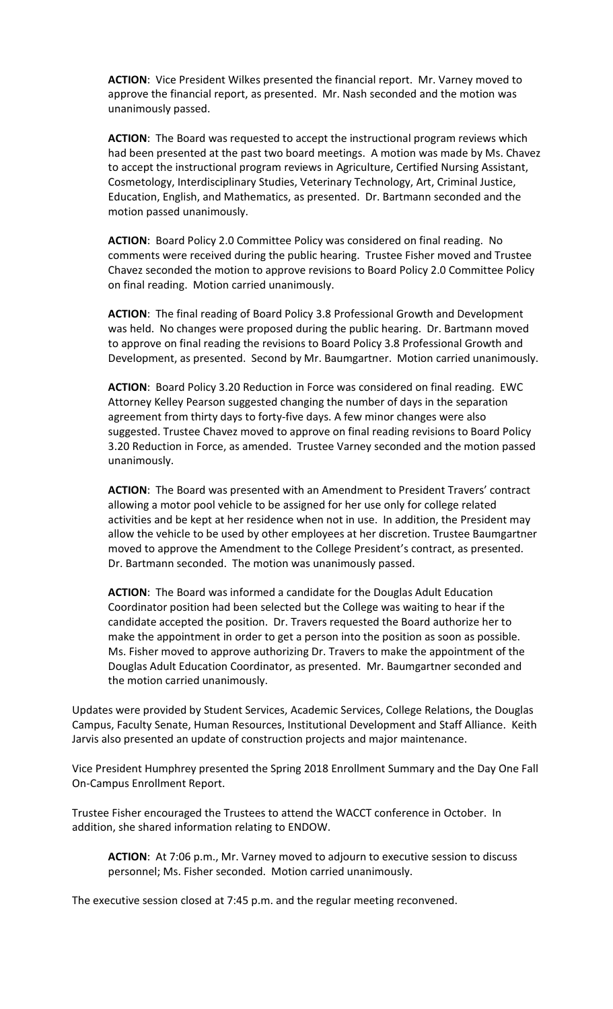**ACTION**: Vice President Wilkes presented the financial report. Mr. Varney moved to approve the financial report, as presented. Mr. Nash seconded and the motion was unanimously passed.

**ACTION**: The Board was requested to accept the instructional program reviews which had been presented at the past two board meetings. A motion was made by Ms. Chavez to accept the instructional program reviews in Agriculture, Certified Nursing Assistant, Cosmetology, Interdisciplinary Studies, Veterinary Technology, Art, Criminal Justice, Education, English, and Mathematics, as presented. Dr. Bartmann seconded and the motion passed unanimously.

**ACTION**: Board Policy 2.0 Committee Policy was considered on final reading. No comments were received during the public hearing. Trustee Fisher moved and Trustee Chavez seconded the motion to approve revisions to Board Policy 2.0 Committee Policy on final reading. Motion carried unanimously.

**ACTION**: The final reading of Board Policy 3.8 Professional Growth and Development was held. No changes were proposed during the public hearing. Dr. Bartmann moved to approve on final reading the revisions to Board Policy 3.8 Professional Growth and Development, as presented. Second by Mr. Baumgartner. Motion carried unanimously.

**ACTION**: Board Policy 3.20 Reduction in Force was considered on final reading. EWC Attorney Kelley Pearson suggested changing the number of days in the separation agreement from thirty days to forty-five days. A few minor changes were also suggested. Trustee Chavez moved to approve on final reading revisions to Board Policy 3.20 Reduction in Force, as amended. Trustee Varney seconded and the motion passed unanimously.

**ACTION**: The Board was presented with an Amendment to President Travers' contract allowing a motor pool vehicle to be assigned for her use only for college related activities and be kept at her residence when not in use. In addition, the President may allow the vehicle to be used by other employees at her discretion. Trustee Baumgartner moved to approve the Amendment to the College President's contract, as presented. Dr. Bartmann seconded. The motion was unanimously passed.

**ACTION**: The Board was informed a candidate for the Douglas Adult Education Coordinator position had been selected but the College was waiting to hear if the candidate accepted the position. Dr. Travers requested the Board authorize her to make the appointment in order to get a person into the position as soon as possible. Ms. Fisher moved to approve authorizing Dr. Travers to make the appointment of the Douglas Adult Education Coordinator, as presented. Mr. Baumgartner seconded and the motion carried unanimously.

Updates were provided by Student Services, Academic Services, College Relations, the Douglas Campus, Faculty Senate, Human Resources, Institutional Development and Staff Alliance. Keith Jarvis also presented an update of construction projects and major maintenance.

Vice President Humphrey presented the Spring 2018 Enrollment Summary and the Day One Fall On-Campus Enrollment Report.

Trustee Fisher encouraged the Trustees to attend the WACCT conference in October. In addition, she shared information relating to ENDOW.

**ACTION**: At 7:06 p.m., Mr. Varney moved to adjourn to executive session to discuss personnel; Ms. Fisher seconded. Motion carried unanimously.

The executive session closed at 7:45 p.m. and the regular meeting reconvened.